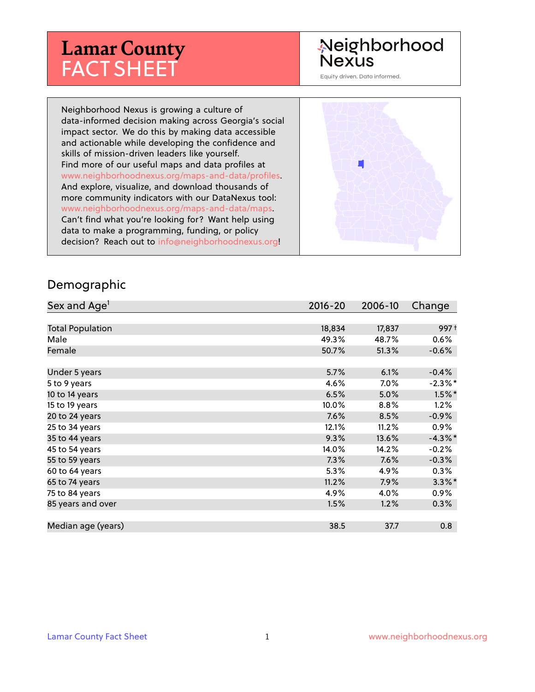# **Lamar County** FACT SHEET

# Neighborhood **Nexus**

Equity driven. Data informed.

Neighborhood Nexus is growing a culture of data-informed decision making across Georgia's social impact sector. We do this by making data accessible and actionable while developing the confidence and skills of mission-driven leaders like yourself. Find more of our useful maps and data profiles at www.neighborhoodnexus.org/maps-and-data/profiles. And explore, visualize, and download thousands of more community indicators with our DataNexus tool: www.neighborhoodnexus.org/maps-and-data/maps. Can't find what you're looking for? Want help using data to make a programming, funding, or policy decision? Reach out to [info@neighborhoodnexus.org!](mailto:info@neighborhoodnexus.org)



#### Demographic

| Sex and Age <sup>1</sup> | $2016 - 20$ | 2006-10 | Change     |
|--------------------------|-------------|---------|------------|
|                          |             |         |            |
| <b>Total Population</b>  | 18,834      | 17,837  | 997+       |
| Male                     | 49.3%       | 48.7%   | 0.6%       |
| Female                   | 50.7%       | 51.3%   | $-0.6%$    |
|                          |             |         |            |
| Under 5 years            | 5.7%        | 6.1%    | $-0.4%$    |
| 5 to 9 years             | 4.6%        | 7.0%    | $-2.3\%$ * |
| 10 to 14 years           | 6.5%        | 5.0%    | $1.5\%$ *  |
| 15 to 19 years           | 10.0%       | $8.8\%$ | 1.2%       |
| 20 to 24 years           | 7.6%        | 8.5%    | $-0.9%$    |
| 25 to 34 years           | 12.1%       | 11.2%   | $0.9\%$    |
| 35 to 44 years           | 9.3%        | 13.6%   | $-4.3\%$ * |
| 45 to 54 years           | 14.0%       | 14.2%   | $-0.2%$    |
| 55 to 59 years           | 7.3%        | 7.6%    | $-0.3%$    |
| 60 to 64 years           | 5.3%        | 4.9%    | 0.3%       |
| 65 to 74 years           | 11.2%       | $7.9\%$ | $3.3\%$ *  |
| 75 to 84 years           | 4.9%        | 4.0%    | $0.9\%$    |
| 85 years and over        | 1.5%        | 1.2%    | $0.3\%$    |
|                          |             |         |            |
| Median age (years)       | 38.5        | 37.7    | 0.8        |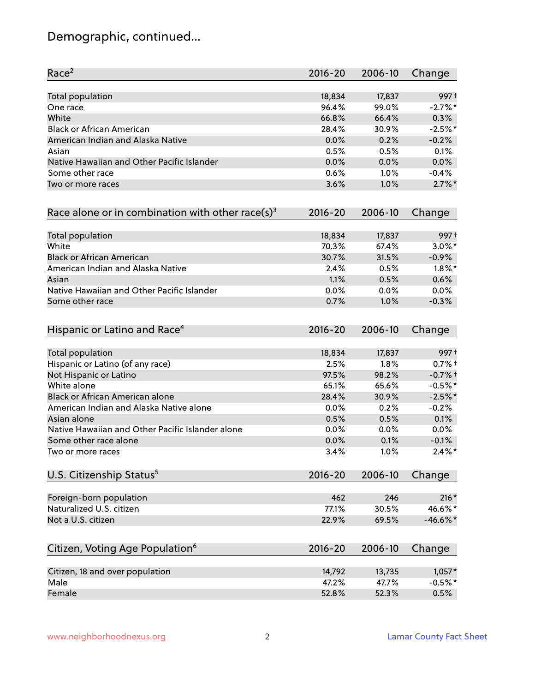# Demographic, continued...

| Race <sup>2</sup>                                            | $2016 - 20$ | 2006-10 | Change     |
|--------------------------------------------------------------|-------------|---------|------------|
| <b>Total population</b>                                      | 18,834      | 17,837  | 997+       |
| One race                                                     | 96.4%       | 99.0%   | $-2.7%$ *  |
| White                                                        | 66.8%       | 66.4%   | 0.3%       |
| <b>Black or African American</b>                             | 28.4%       | 30.9%   | $-2.5%$ *  |
| American Indian and Alaska Native                            | 0.0%        | 0.2%    | $-0.2%$    |
| Asian                                                        | 0.5%        | 0.5%    | 0.1%       |
| Native Hawaiian and Other Pacific Islander                   | 0.0%        | 0.0%    | 0.0%       |
| Some other race                                              | 0.6%        | 1.0%    | $-0.4%$    |
| Two or more races                                            | 3.6%        | 1.0%    | $2.7\%$ *  |
| Race alone or in combination with other race(s) <sup>3</sup> | $2016 - 20$ | 2006-10 | Change     |
| Total population                                             | 18,834      | 17,837  | 997+       |
| White                                                        | 70.3%       | 67.4%   | $3.0\%$ *  |
| <b>Black or African American</b>                             | 30.7%       | 31.5%   | $-0.9%$    |
| American Indian and Alaska Native                            | 2.4%        | 0.5%    | $1.8\%$ *  |
| Asian                                                        | 1.1%        | 0.5%    | 0.6%       |
| Native Hawaiian and Other Pacific Islander                   | 0.0%        | 0.0%    | 0.0%       |
| Some other race                                              | 0.7%        | 1.0%    | $-0.3%$    |
| Hispanic or Latino and Race <sup>4</sup>                     | $2016 - 20$ | 2006-10 | Change     |
| <b>Total population</b>                                      | 18,834      | 17,837  | 997+       |
| Hispanic or Latino (of any race)                             | 2.5%        | 1.8%    | $0.7%$ +   |
| Not Hispanic or Latino                                       | 97.5%       | 98.2%   | $-0.7%$ †  |
| White alone                                                  | 65.1%       | 65.6%   | $-0.5%$ *  |
| Black or African American alone                              | 28.4%       | 30.9%   | $-2.5%$ *  |
| American Indian and Alaska Native alone                      | 0.0%        | 0.2%    | $-0.2%$    |
| Asian alone                                                  | 0.5%        | 0.5%    | 0.1%       |
| Native Hawaiian and Other Pacific Islander alone             | 0.0%        | 0.0%    | $0.0\%$    |
| Some other race alone                                        | 0.0%        | 0.1%    | $-0.1%$    |
| Two or more races                                            | 3.4%        | 1.0%    | $2.4\%$ *  |
| U.S. Citizenship Status <sup>5</sup>                         | $2016 - 20$ | 2006-10 | Change     |
| Foreign-born population                                      | 462         | 246     | $216*$     |
| Naturalized U.S. citizen                                     | 77.1%       | 30.5%   | 46.6%*     |
| Not a U.S. citizen                                           | 22.9%       | 69.5%   | $-46.6%$ * |
| Citizen, Voting Age Population <sup>6</sup>                  | $2016 - 20$ | 2006-10 | Change     |
|                                                              |             |         |            |
| Citizen, 18 and over population                              | 14,792      | 13,735  | $1,057*$   |
| Male                                                         | 47.2%       | 47.7%   | $-0.5%$ *  |
| Female                                                       | 52.8%       | 52.3%   | 0.5%       |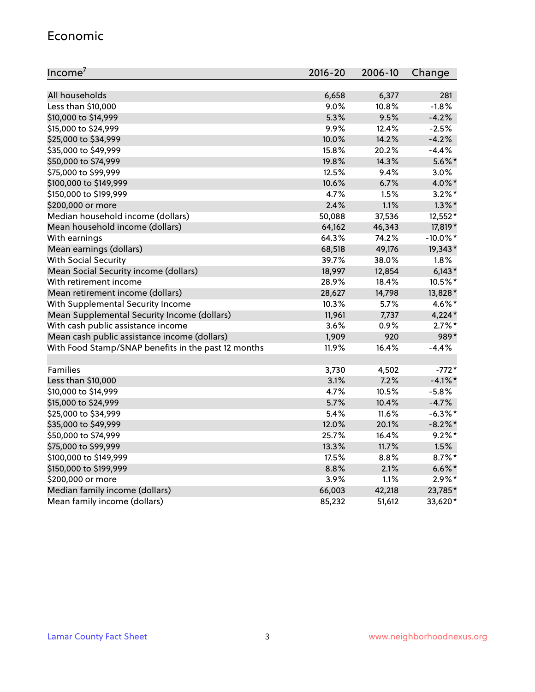#### Economic

| Income <sup>7</sup>                                 | $2016 - 20$ | 2006-10 | Change      |
|-----------------------------------------------------|-------------|---------|-------------|
|                                                     |             |         |             |
| All households                                      | 6,658       | 6,377   | 281         |
| Less than \$10,000                                  | 9.0%        | 10.8%   | $-1.8%$     |
| \$10,000 to \$14,999                                | 5.3%        | 9.5%    | $-4.2%$     |
| \$15,000 to \$24,999                                | 9.9%        | 12.4%   | $-2.5%$     |
| \$25,000 to \$34,999                                | 10.0%       | 14.2%   | $-4.2%$     |
| \$35,000 to \$49,999                                | 15.8%       | 20.2%   | $-4.4%$     |
| \$50,000 to \$74,999                                | 19.8%       | 14.3%   | $5.6\%$ *   |
| \$75,000 to \$99,999                                | 12.5%       | 9.4%    | 3.0%        |
| \$100,000 to \$149,999                              | 10.6%       | 6.7%    | 4.0%*       |
| \$150,000 to \$199,999                              | 4.7%        | 1.5%    | $3.2\%$ *   |
| \$200,000 or more                                   | 2.4%        | 1.1%    | $1.3\%$ *   |
| Median household income (dollars)                   | 50,088      | 37,536  | 12,552*     |
| Mean household income (dollars)                     | 64,162      | 46,343  | 17,819*     |
| With earnings                                       | 64.3%       | 74.2%   | $-10.0\%$ * |
| Mean earnings (dollars)                             | 68,518      | 49,176  | 19,343*     |
| <b>With Social Security</b>                         | 39.7%       | 38.0%   | 1.8%        |
| Mean Social Security income (dollars)               | 18,997      | 12,854  | $6,143*$    |
| With retirement income                              | 28.9%       | 18.4%   | 10.5%*      |
| Mean retirement income (dollars)                    | 28,627      | 14,798  | 13,828*     |
| With Supplemental Security Income                   | 10.3%       | $5.7\%$ | 4.6%*       |
| Mean Supplemental Security Income (dollars)         | 11,961      | 7,737   | $4,224*$    |
| With cash public assistance income                  | 3.6%        | 0.9%    | $2.7\%$ *   |
| Mean cash public assistance income (dollars)        | 1,909       | 920     | 989*        |
| With Food Stamp/SNAP benefits in the past 12 months | 11.9%       | 16.4%   | $-4.4%$     |
|                                                     |             |         |             |
| Families                                            | 3,730       | 4,502   | $-772*$     |
| Less than \$10,000                                  | 3.1%        | 7.2%    | $-4.1\%$ *  |
| \$10,000 to \$14,999                                | 4.7%        | 10.5%   | $-5.8%$     |
| \$15,000 to \$24,999                                | 5.7%        | 10.4%   | $-4.7%$     |
| \$25,000 to \$34,999                                | 5.4%        | 11.6%   | $-6.3\%$ *  |
| \$35,000 to \$49,999                                | 12.0%       | 20.1%   | $-8.2\%$ *  |
| \$50,000 to \$74,999                                | 25.7%       | 16.4%   | $9.2%$ *    |
| \$75,000 to \$99,999                                | 13.3%       | 11.7%   | 1.5%        |
| \$100,000 to \$149,999                              | 17.5%       | 8.8%    | $8.7\%$ *   |
| \$150,000 to \$199,999                              | 8.8%        | 2.1%    | $6.6\%$ *   |
| \$200,000 or more                                   | 3.9%        | 1.1%    | $2.9\%*$    |
| Median family income (dollars)                      | 66,003      | 42,218  | 23,785*     |
| Mean family income (dollars)                        | 85,232      | 51,612  | 33,620*     |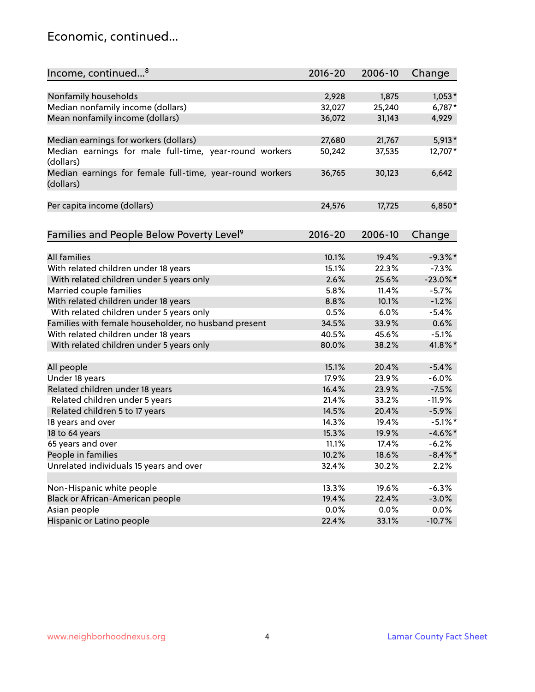### Economic, continued...

| Income, continued <sup>8</sup>                                        | $2016 - 20$ | 2006-10 | Change      |
|-----------------------------------------------------------------------|-------------|---------|-------------|
|                                                                       |             |         |             |
| Nonfamily households                                                  | 2,928       | 1,875   | $1,053*$    |
| Median nonfamily income (dollars)                                     | 32,027      | 25,240  | 6,787*      |
| Mean nonfamily income (dollars)                                       | 36,072      | 31,143  | 4,929       |
| Median earnings for workers (dollars)                                 | 27,680      | 21,767  | $5,913*$    |
| Median earnings for male full-time, year-round workers                | 50,242      | 37,535  | 12,707*     |
| (dollars)                                                             |             |         |             |
| Median earnings for female full-time, year-round workers<br>(dollars) | 36,765      | 30,123  | 6,642       |
| Per capita income (dollars)                                           | 24,576      | 17,725  | $6,850*$    |
|                                                                       |             |         |             |
| Families and People Below Poverty Level <sup>9</sup>                  | $2016 - 20$ | 2006-10 | Change      |
|                                                                       |             |         |             |
| <b>All families</b>                                                   | 10.1%       | 19.4%   | $-9.3%$ *   |
| With related children under 18 years                                  | 15.1%       | 22.3%   | $-7.3%$     |
| With related children under 5 years only                              | 2.6%        | 25.6%   | $-23.0\%$ * |
| Married couple families                                               | 5.8%        | 11.4%   | $-5.7%$     |
| With related children under 18 years                                  | 8.8%        | 10.1%   | $-1.2%$     |
| With related children under 5 years only                              | 0.5%        | 6.0%    | $-5.4%$     |
| Families with female householder, no husband present                  | 34.5%       | 33.9%   | 0.6%        |
| With related children under 18 years                                  | 40.5%       | 45.6%   | $-5.1%$     |
| With related children under 5 years only                              | 80.0%       | 38.2%   | 41.8%*      |
| All people                                                            | 15.1%       | 20.4%   | $-5.4%$     |
| Under 18 years                                                        | 17.9%       | 23.9%   | $-6.0%$     |
| Related children under 18 years                                       | 16.4%       | 23.9%   | $-7.5%$     |
| Related children under 5 years                                        | 21.4%       | 33.2%   | $-11.9%$    |
| Related children 5 to 17 years                                        | 14.5%       | 20.4%   | $-5.9%$     |
| 18 years and over                                                     | 14.3%       | 19.4%   | $-5.1\%$ *  |
| 18 to 64 years                                                        | 15.3%       | 19.9%   | $-4.6\%$ *  |
| 65 years and over                                                     | 11.1%       | 17.4%   | $-6.2%$     |
| People in families                                                    | 10.2%       | 18.6%   | $-8.4\%$ *  |
| Unrelated individuals 15 years and over                               | 32.4%       | 30.2%   | 2.2%        |
|                                                                       |             |         |             |
| Non-Hispanic white people                                             | 13.3%       | 19.6%   | $-6.3%$     |
| Black or African-American people                                      | 19.4%       | 22.4%   | $-3.0%$     |
| Asian people                                                          | 0.0%        | $0.0\%$ | 0.0%        |
| Hispanic or Latino people                                             | 22.4%       | 33.1%   | $-10.7%$    |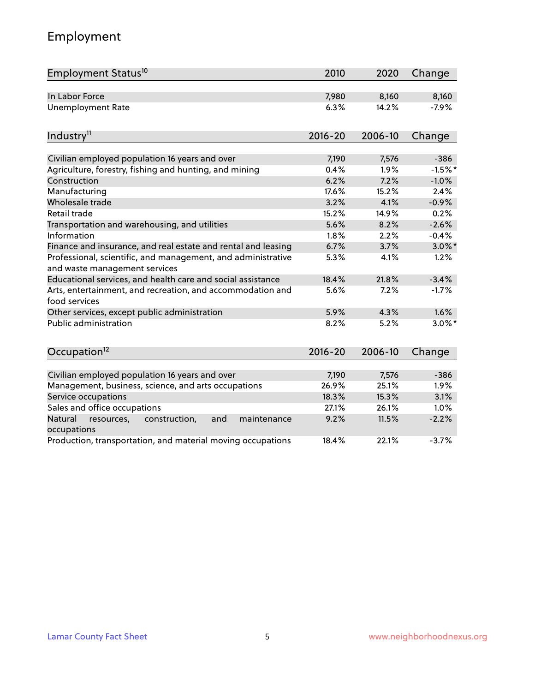# Employment

| Employment Status <sup>10</sup>                                                               | 2010        | 2020    | Change    |
|-----------------------------------------------------------------------------------------------|-------------|---------|-----------|
| In Labor Force                                                                                | 7,980       | 8,160   | 8,160     |
| <b>Unemployment Rate</b>                                                                      | 6.3%        | 14.2%   | $-7.9%$   |
| Industry <sup>11</sup>                                                                        | $2016 - 20$ | 2006-10 | Change    |
|                                                                                               |             |         |           |
| Civilian employed population 16 years and over                                                | 7,190       | 7,576   | $-386$    |
| Agriculture, forestry, fishing and hunting, and mining                                        | 0.4%        | 1.9%    | $-1.5%$ * |
| Construction                                                                                  | 6.2%        | 7.2%    | $-1.0%$   |
| Manufacturing                                                                                 | 17.6%       | 15.2%   | 2.4%      |
| Wholesale trade                                                                               | 3.2%        | 4.1%    | $-0.9%$   |
| Retail trade                                                                                  | 15.2%       | 14.9%   | 0.2%      |
| Transportation and warehousing, and utilities                                                 | 5.6%        | 8.2%    | $-2.6%$   |
| Information                                                                                   | 1.8%        | 2.2%    | $-0.4%$   |
| Finance and insurance, and real estate and rental and leasing                                 | 6.7%        | 3.7%    | $3.0\%$ * |
| Professional, scientific, and management, and administrative<br>and waste management services | 5.3%        | 4.1%    | 1.2%      |
| Educational services, and health care and social assistance                                   | 18.4%       | 21.8%   | $-3.4%$   |
| Arts, entertainment, and recreation, and accommodation and<br>food services                   | 5.6%        | 7.2%    | $-1.7%$   |
| Other services, except public administration                                                  | 5.9%        | 4.3%    | 1.6%      |
| <b>Public administration</b>                                                                  | 8.2%        | 5.2%    | $3.0\%$ * |
| Occupation <sup>12</sup>                                                                      | $2016 - 20$ | 2006-10 | Change    |
|                                                                                               |             |         |           |
| Civilian employed population 16 years and over                                                | 7,190       | 7,576   | $-386$    |
| Management, business, science, and arts occupations                                           | 26.9%       | 25.1%   | 1.9%      |
| Service occupations                                                                           | 18.3%       | 15.3%   | 3.1%      |
| Sales and office occupations                                                                  | 27.1%       | 26.1%   | 1.0%      |
| Natural<br>resources,<br>construction,<br>and<br>maintenance<br>occupations                   | 9.2%        | 11.5%   | $-2.2%$   |
| Production, transportation, and material moving occupations                                   | 18.4%       | 22.1%   | $-3.7%$   |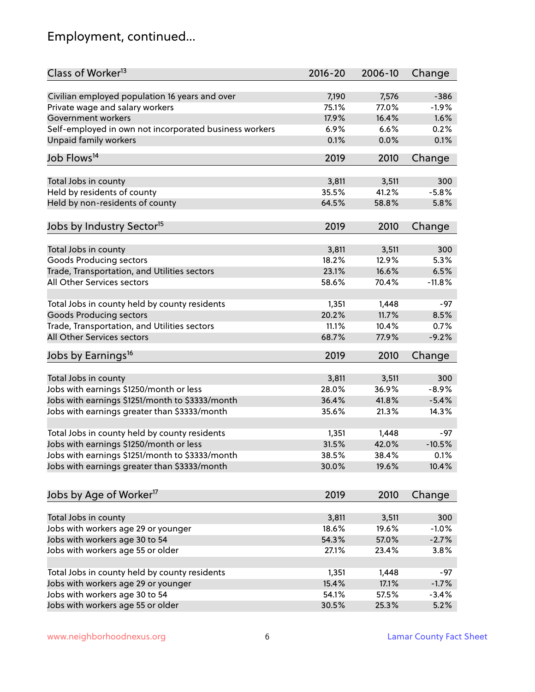# Employment, continued...

| Class of Worker <sup>13</sup>                               | $2016 - 20$    | 2006-10        | Change   |
|-------------------------------------------------------------|----------------|----------------|----------|
| Civilian employed population 16 years and over              | 7,190          | 7,576          | $-386$   |
| Private wage and salary workers                             | 75.1%          | 77.0%          | $-1.9%$  |
| Government workers                                          | 17.9%          | 16.4%          | 1.6%     |
| Self-employed in own not incorporated business workers      | 6.9%           | 6.6%           | 0.2%     |
| Unpaid family workers                                       | 0.1%           | 0.0%           | 0.1%     |
|                                                             |                |                |          |
| Job Flows <sup>14</sup>                                     | 2019           | 2010           | Change   |
| Total Jobs in county                                        | 3,811          | 3,511          | 300      |
| Held by residents of county                                 | 35.5%          | 41.2%          | $-5.8%$  |
| Held by non-residents of county                             | 64.5%          | 58.8%          | 5.8%     |
|                                                             |                |                |          |
| Jobs by Industry Sector <sup>15</sup>                       | 2019           | 2010           | Change   |
| Total Jobs in county                                        | 3,811          | 3,511          | 300      |
| Goods Producing sectors                                     | 18.2%          | 12.9%          | 5.3%     |
| Trade, Transportation, and Utilities sectors                | 23.1%          | 16.6%          | 6.5%     |
| All Other Services sectors                                  | 58.6%          | 70.4%          | $-11.8%$ |
|                                                             |                |                |          |
| Total Jobs in county held by county residents               | 1,351          | 1,448          | $-97$    |
| <b>Goods Producing sectors</b>                              | 20.2%          | 11.7%          | 8.5%     |
| Trade, Transportation, and Utilities sectors                | 11.1%          | 10.4%          | 0.7%     |
| All Other Services sectors                                  | 68.7%          | 77.9%          | $-9.2%$  |
| Jobs by Earnings <sup>16</sup>                              | 2019           | 2010           | Change   |
|                                                             |                |                |          |
| Total Jobs in county                                        | 3,811          | 3,511          | 300      |
| Jobs with earnings \$1250/month or less                     | 28.0%          | 36.9%          | $-8.9%$  |
| Jobs with earnings \$1251/month to \$3333/month             | 36.4%          | 41.8%          | $-5.4%$  |
| Jobs with earnings greater than \$3333/month                | 35.6%          | 21.3%          | 14.3%    |
| Total Jobs in county held by county residents               | 1,351          | 1,448          | -97      |
| Jobs with earnings \$1250/month or less                     | 31.5%          | 42.0%          | $-10.5%$ |
| Jobs with earnings \$1251/month to \$3333/month             | 38.5%          | 38.4%          | $0.1\%$  |
| Jobs with earnings greater than \$3333/month                | 30.0%          | 19.6%          | 10.4%    |
|                                                             |                |                |          |
| Jobs by Age of Worker <sup>17</sup>                         | 2019           | 2010           | Change   |
|                                                             |                |                | 300      |
| Total Jobs in county<br>Jobs with workers age 29 or younger | 3,811<br>18.6% | 3,511<br>19.6% | $-1.0%$  |
|                                                             | 54.3%          | 57.0%          | $-2.7%$  |
| Jobs with workers age 30 to 54                              |                |                |          |
| Jobs with workers age 55 or older                           | 27.1%          | 23.4%          | 3.8%     |
| Total Jobs in county held by county residents               | 1,351          | 1,448          | -97      |
| Jobs with workers age 29 or younger                         | 15.4%          | 17.1%          | $-1.7%$  |
| Jobs with workers age 30 to 54                              | 54.1%          | 57.5%          | $-3.4%$  |
| Jobs with workers age 55 or older                           | 30.5%          | 25.3%          | 5.2%     |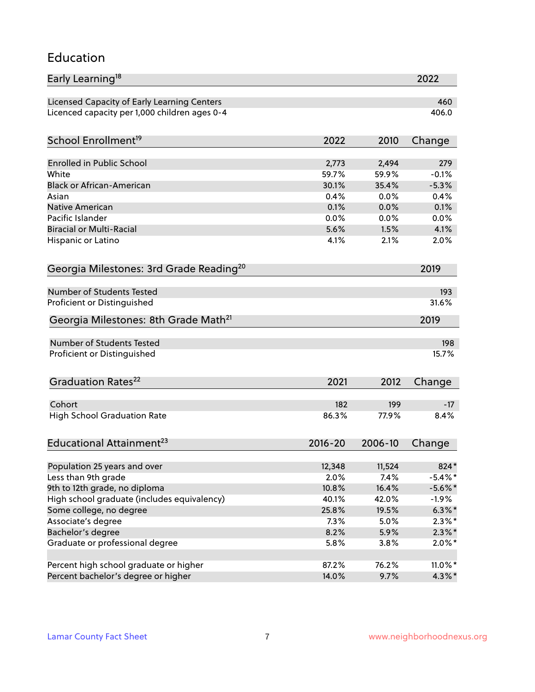#### Education

| Early Learning <sup>18</sup>                        |             |         | 2022       |
|-----------------------------------------------------|-------------|---------|------------|
| Licensed Capacity of Early Learning Centers         |             |         | 460        |
| Licenced capacity per 1,000 children ages 0-4       |             |         | 406.0      |
| School Enrollment <sup>19</sup>                     | 2022        | 2010    | Change     |
|                                                     |             |         |            |
| <b>Enrolled in Public School</b>                    | 2,773       | 2,494   | 279        |
| White                                               | 59.7%       | 59.9%   | $-0.1%$    |
| <b>Black or African-American</b>                    | 30.1%       | 35.4%   | $-5.3%$    |
| Asian                                               | 0.4%        | 0.0%    | 0.4%       |
| <b>Native American</b>                              | 0.1%        | 0.0%    | 0.1%       |
| Pacific Islander                                    | 0.0%        | 0.0%    | 0.0%       |
| <b>Biracial or Multi-Racial</b>                     | 5.6%        | 1.5%    | 4.1%       |
| Hispanic or Latino                                  | 4.1%        | 2.1%    | 2.0%       |
| Georgia Milestones: 3rd Grade Reading <sup>20</sup> |             |         | 2019       |
|                                                     |             |         |            |
| <b>Number of Students Tested</b>                    |             |         | 193        |
| Proficient or Distinguished                         |             |         | 31.6%      |
| Georgia Milestones: 8th Grade Math <sup>21</sup>    |             |         | 2019       |
| <b>Number of Students Tested</b>                    |             |         | 198        |
| Proficient or Distinguished                         |             |         | 15.7%      |
|                                                     |             |         |            |
| Graduation Rates <sup>22</sup>                      | 2021        | 2012    | Change     |
| Cohort                                              | 182         | 199     | $-17$      |
| <b>High School Graduation Rate</b>                  | 86.3%       | 77.9%   | 8.4%       |
|                                                     |             |         |            |
| Educational Attainment <sup>23</sup>                | $2016 - 20$ | 2006-10 | Change     |
| Population 25 years and over                        | 12,348      | 11,524  | 824*       |
| Less than 9th grade                                 | 2.0%        | 7.4%    | $-5.4\%$ * |
| 9th to 12th grade, no diploma                       | 10.8%       | 16.4%   | $-5.6\%$ * |
| High school graduate (includes equivalency)         | 40.1%       | 42.0%   | $-1.9%$    |
|                                                     | 25.8%       |         |            |
| Some college, no degree                             |             | 19.5%   | $6.3\%$ *  |
| Associate's degree                                  | 7.3%        | 5.0%    | $2.3\%$ *  |
| Bachelor's degree                                   | 8.2%        | 5.9%    | $2.3\%*$   |
| Graduate or professional degree                     | 5.8%        | 3.8%    | $2.0\%$ *  |
| Percent high school graduate or higher              | 87.2%       | 76.2%   | $11.0\%$ * |
| Percent bachelor's degree or higher                 | 14.0%       | 9.7%    | $4.3\%$ *  |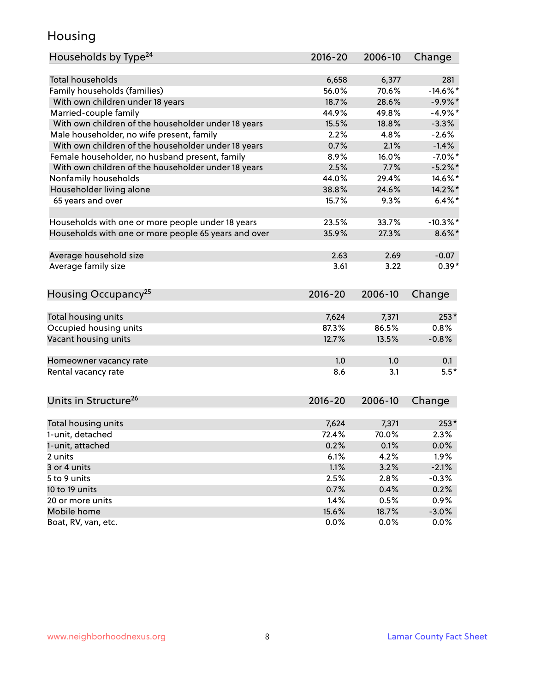### Housing

| Households by Type <sup>24</sup>                     | 2016-20     | 2006-10 | Change      |
|------------------------------------------------------|-------------|---------|-------------|
|                                                      |             |         |             |
| <b>Total households</b>                              | 6,658       | 6,377   | 281         |
| Family households (families)                         | 56.0%       | 70.6%   | $-14.6\%$ * |
| With own children under 18 years                     | 18.7%       | 28.6%   | $-9.9\%$ *  |
| Married-couple family                                | 44.9%       | 49.8%   | $-4.9%$ *   |
| With own children of the householder under 18 years  | 15.5%       | 18.8%   | $-3.3%$     |
| Male householder, no wife present, family            | 2.2%        | 4.8%    | $-2.6%$     |
| With own children of the householder under 18 years  | 0.7%        | 2.1%    | $-1.4%$     |
| Female householder, no husband present, family       | 8.9%        | 16.0%   | $-7.0\%$ *  |
| With own children of the householder under 18 years  | 2.5%        | 7.7%    | $-5.2\%$ *  |
| Nonfamily households                                 | 44.0%       | 29.4%   | 14.6%*      |
| Householder living alone                             | 38.8%       | 24.6%   | 14.2%*      |
| 65 years and over                                    | 15.7%       | 9.3%    | $6.4\%$ *   |
|                                                      |             |         |             |
| Households with one or more people under 18 years    | 23.5%       | 33.7%   | $-10.3\%$ * |
| Households with one or more people 65 years and over | 35.9%       | 27.3%   | $8.6\%$ *   |
|                                                      |             |         |             |
| Average household size                               | 2.63        | 2.69    | $-0.07$     |
| Average family size                                  | 3.61        | 3.22    | $0.39*$     |
|                                                      |             |         |             |
| Housing Occupancy <sup>25</sup>                      | $2016 - 20$ | 2006-10 | Change      |
|                                                      |             |         |             |
| Total housing units                                  | 7,624       | 7,371   | $253*$      |
| Occupied housing units                               | 87.3%       | 86.5%   | 0.8%        |
| Vacant housing units                                 | 12.7%       | 13.5%   | $-0.8%$     |
|                                                      |             |         |             |
| Homeowner vacancy rate                               | 1.0         | 1.0     | 0.1         |
| Rental vacancy rate                                  | 8.6         | 3.1     | $5.5*$      |
|                                                      |             |         |             |
|                                                      |             |         |             |
| Units in Structure <sup>26</sup>                     | $2016 - 20$ | 2006-10 | Change      |
|                                                      |             |         | $253*$      |
| Total housing units                                  | 7,624       | 7,371   |             |
| 1-unit, detached                                     | 72.4%       | 70.0%   | 2.3%        |
| 1-unit, attached                                     | 0.2%        | 0.1%    | 0.0%        |
| 2 units                                              | 6.1%        | 4.2%    | 1.9%        |
| 3 or 4 units                                         | 1.1%        | 3.2%    | $-2.1%$     |
| 5 to 9 units                                         | 2.5%        | 2.8%    | $-0.3%$     |
| 10 to 19 units                                       | 0.7%        | 0.4%    | 0.2%        |
| 20 or more units                                     | 1.4%        | 0.5%    | 0.9%        |
| Mobile home                                          | 15.6%       | 18.7%   | $-3.0%$     |
| Boat, RV, van, etc.                                  | 0.0%        | 0.0%    | $0.0\%$     |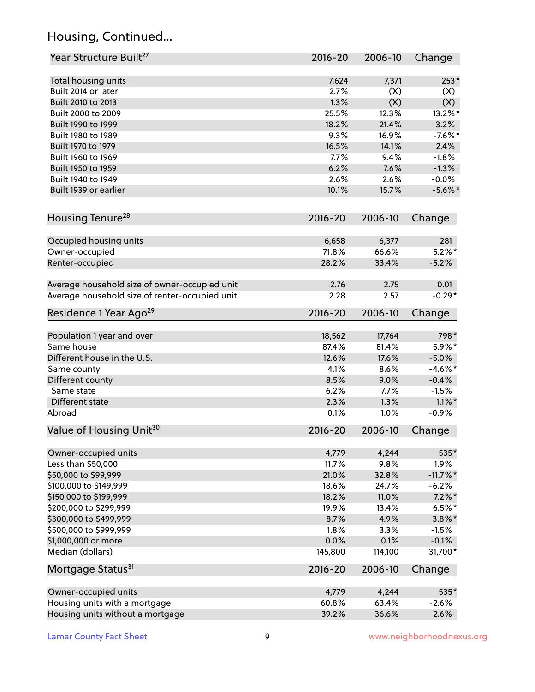# Housing, Continued...

| Year Structure Built <sup>27</sup>             | 2016-20     | 2006-10 | Change      |
|------------------------------------------------|-------------|---------|-------------|
| Total housing units                            | 7,624       | 7,371   | $253*$      |
| Built 2014 or later                            | 2.7%        | (X)     | (X)         |
| Built 2010 to 2013                             | 1.3%        | (X)     | (X)         |
| Built 2000 to 2009                             | 25.5%       | 12.3%   | 13.2%*      |
| Built 1990 to 1999                             | 18.2%       | 21.4%   | $-3.2%$     |
| Built 1980 to 1989                             | 9.3%        | 16.9%   | $-7.6\%$ *  |
| Built 1970 to 1979                             | 16.5%       | 14.1%   | 2.4%        |
| Built 1960 to 1969                             | 7.7%        | 9.4%    | $-1.8%$     |
| Built 1950 to 1959                             | 6.2%        | 7.6%    | $-1.3%$     |
| Built 1940 to 1949                             | 2.6%        | 2.6%    | $-0.0%$     |
| Built 1939 or earlier                          | 10.1%       | 15.7%   | $-5.6\%$ *  |
| Housing Tenure <sup>28</sup>                   | $2016 - 20$ | 2006-10 | Change      |
|                                                |             |         |             |
| Occupied housing units                         | 6,658       | 6,377   | 281         |
| Owner-occupied                                 | 71.8%       | 66.6%   | $5.2\%$ *   |
| Renter-occupied                                | 28.2%       | 33.4%   | $-5.2%$     |
| Average household size of owner-occupied unit  | 2.76        | 2.75    | 0.01        |
| Average household size of renter-occupied unit | 2.28        | 2.57    | $-0.29*$    |
| Residence 1 Year Ago <sup>29</sup>             | $2016 - 20$ | 2006-10 | Change      |
| Population 1 year and over                     | 18,562      | 17,764  | 798*        |
| Same house                                     | 87.4%       | 81.4%   | 5.9%*       |
| Different house in the U.S.                    | 12.6%       | 17.6%   | $-5.0%$     |
| Same county                                    | 4.1%        | 8.6%    | $-4.6%$ *   |
| Different county                               | 8.5%        | 9.0%    | $-0.4%$     |
| Same state                                     | 6.2%        | 7.7%    | $-1.5%$     |
| Different state                                | 2.3%        | 1.3%    | $1.1\%$ *   |
| Abroad                                         | 0.1%        | 1.0%    | $-0.9%$     |
| Value of Housing Unit <sup>30</sup>            | $2016 - 20$ | 2006-10 | Change      |
|                                                |             |         |             |
| Owner-occupied units                           | 4,779       | 4,244   | 535*        |
| Less than \$50,000                             | 11.7%       | 9.8%    | 1.9%        |
| \$50,000 to \$99,999                           | 21.0%       | 32.8%   | $-11.7\%$ * |
| \$100,000 to \$149,999                         | 18.6%       | 24.7%   | $-6.2%$     |
| \$150,000 to \$199,999                         | 18.2%       | 11.0%   | $7.2\%$ *   |
| \$200,000 to \$299,999                         | 19.9%       | 13.4%   | $6.5%$ *    |
| \$300,000 to \$499,999                         | 8.7%        | 4.9%    | $3.8\%$ *   |
| \$500,000 to \$999,999                         | 1.8%        | 3.3%    | $-1.5%$     |
| \$1,000,000 or more                            | 0.0%        | 0.1%    | $-0.1%$     |
| Median (dollars)                               | 145,800     | 114,100 | 31,700*     |
| Mortgage Status <sup>31</sup>                  | $2016 - 20$ | 2006-10 | Change      |
| Owner-occupied units                           | 4,779       | 4,244   | 535*        |
| Housing units with a mortgage                  | 60.8%       | 63.4%   | $-2.6%$     |
| Housing units without a mortgage               | 39.2%       | 36.6%   | 2.6%        |
|                                                |             |         |             |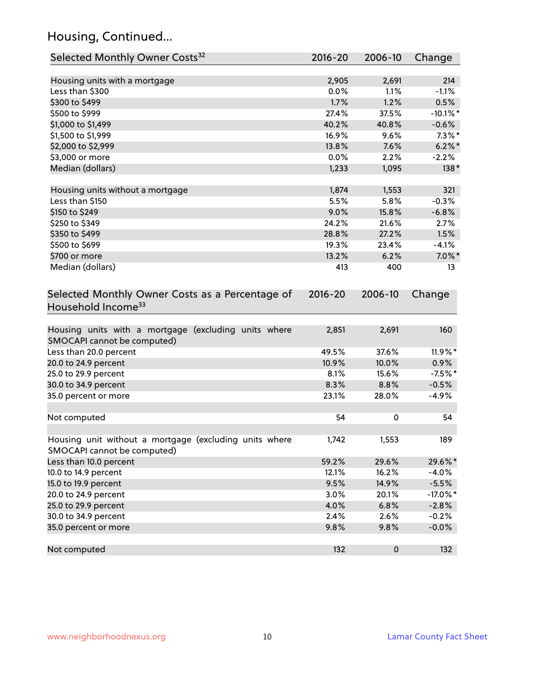# Housing, Continued...

| Selected Monthly Owner Costs <sup>32</sup>                                            | 2016-20     | 2006-10   | Change      |
|---------------------------------------------------------------------------------------|-------------|-----------|-------------|
| Housing units with a mortgage                                                         | 2,905       | 2,691     | 214         |
| Less than \$300                                                                       | 0.0%        | 1.1%      | $-1.1%$     |
| \$300 to \$499                                                                        | 1.7%        | 1.2%      | 0.5%        |
| \$500 to \$999                                                                        | 27.4%       | 37.5%     | $-10.1\%$ * |
| \$1,000 to \$1,499                                                                    | 40.2%       | 40.8%     | $-0.6%$     |
| \$1,500 to \$1,999                                                                    | 16.9%       | 9.6%      | $7.3\%$ *   |
| \$2,000 to \$2,999                                                                    | 13.8%       | 7.6%      | $6.2\%$ *   |
| \$3,000 or more                                                                       | 0.0%        | 2.2%      | $-2.2%$     |
| Median (dollars)                                                                      | 1,233       | 1,095     | $138*$      |
|                                                                                       |             |           |             |
| Housing units without a mortgage                                                      | 1,874       | 1,553     | 321         |
| Less than \$150                                                                       | 5.5%        | 5.8%      | $-0.3%$     |
| \$150 to \$249                                                                        | 9.0%        | 15.8%     | $-6.8%$     |
| \$250 to \$349                                                                        | 24.2%       | 21.6%     | 2.7%        |
| \$350 to \$499                                                                        | 28.8%       | 27.2%     | 1.5%        |
| \$500 to \$699                                                                        | 19.3%       | 23.4%     | $-4.1%$     |
| \$700 or more                                                                         | 13.2%       | 6.2%      | $7.0\%$ *   |
| Median (dollars)                                                                      | 413         | 400       | 13          |
| Selected Monthly Owner Costs as a Percentage of<br>Household Income <sup>33</sup>     | $2016 - 20$ | 2006-10   | Change      |
| Housing units with a mortgage (excluding units where<br>SMOCAPI cannot be computed)   | 2,851       | 2,691     | 160         |
| Less than 20.0 percent                                                                | 49.5%       | 37.6%     | 11.9%*      |
| 20.0 to 24.9 percent                                                                  | 10.9%       | 10.0%     | $0.9\%$     |
| 25.0 to 29.9 percent                                                                  | 8.1%        | 15.6%     | $-7.5%$ *   |
| 30.0 to 34.9 percent                                                                  | 8.3%        | 8.8%      | $-0.5%$     |
| 35.0 percent or more                                                                  | 23.1%       | 28.0%     | $-4.9%$     |
| Not computed                                                                          | 54          | 0         | 54          |
| Housing unit without a mortgage (excluding units where<br>SMOCAPI cannot be computed) | 1,742       | 1,553     | 189         |
| Less than 10.0 percent                                                                | 59.2%       | 29.6%     | 29.6%*      |
| 10.0 to 14.9 percent                                                                  | 12.1%       | 16.2%     | $-4.0%$     |
| 15.0 to 19.9 percent                                                                  | 9.5%        | 14.9%     | $-5.5%$     |
| 20.0 to 24.9 percent                                                                  | 3.0%        | 20.1%     | $-17.0\%$ * |
| 25.0 to 29.9 percent                                                                  | 4.0%        | 6.8%      | $-2.8%$     |
| 30.0 to 34.9 percent                                                                  | 2.4%        | 2.6%      | $-0.2%$     |
| 35.0 percent or more                                                                  | 9.8%        | 9.8%      | $-0.0%$     |
| Not computed                                                                          | 132         | $\pmb{0}$ | 132         |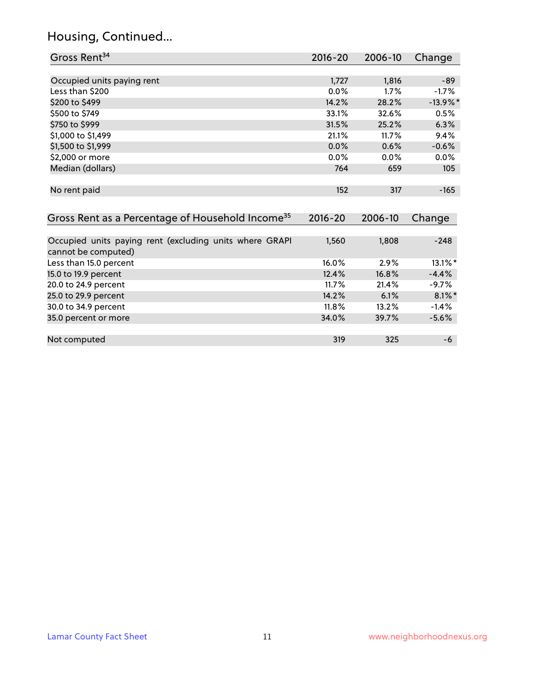# Housing, Continued...

| Gross Rent <sup>34</sup>                                                       | 2016-20 | 2006-10 | Change      |
|--------------------------------------------------------------------------------|---------|---------|-------------|
|                                                                                |         |         |             |
| Occupied units paying rent                                                     | 1,727   | 1,816   | $-89$       |
| Less than \$200                                                                | 0.0%    | 1.7%    | $-1.7%$     |
| \$200 to \$499                                                                 | 14.2%   | 28.2%   | $-13.9\%$ * |
| \$500 to \$749                                                                 | 33.1%   | 32.6%   | 0.5%        |
| \$750 to \$999                                                                 | 31.5%   | 25.2%   | 6.3%        |
| \$1,000 to \$1,499                                                             | 21.1%   | 11.7%   | 9.4%        |
| \$1,500 to \$1,999                                                             | 0.0%    | 0.6%    | $-0.6%$     |
| \$2,000 or more                                                                | 0.0%    | 0.0%    | 0.0%        |
| Median (dollars)                                                               | 764     | 659     | 105         |
| No rent paid                                                                   | 152     | 317     | $-165$      |
| Gross Rent as a Percentage of Household Income <sup>35</sup>                   | 2016-20 | 2006-10 | Change      |
|                                                                                |         |         |             |
| Occupied units paying rent (excluding units where GRAPI<br>cannot be computed) | 1,560   | 1,808   | $-248$      |
| Less than 15.0 percent                                                         | 16.0%   | 2.9%    | 13.1%*      |
| 15.0 to 19.9 percent                                                           | 12.4%   | 16.8%   | $-4.4%$     |
| 20.0 to 24.9 percent                                                           | 11.7%   | 21.4%   | $-9.7%$     |
| 25.0 to 29.9 percent                                                           | 14.2%   | 6.1%    | $8.1\%$ *   |
| 30.0 to 34.9 percent                                                           | 11.8%   | 13.2%   | $-1.4%$     |
| 35.0 percent or more                                                           | 34.0%   | 39.7%   | $-5.6%$     |
|                                                                                |         |         |             |
| Not computed                                                                   | 319     | 325     | -6          |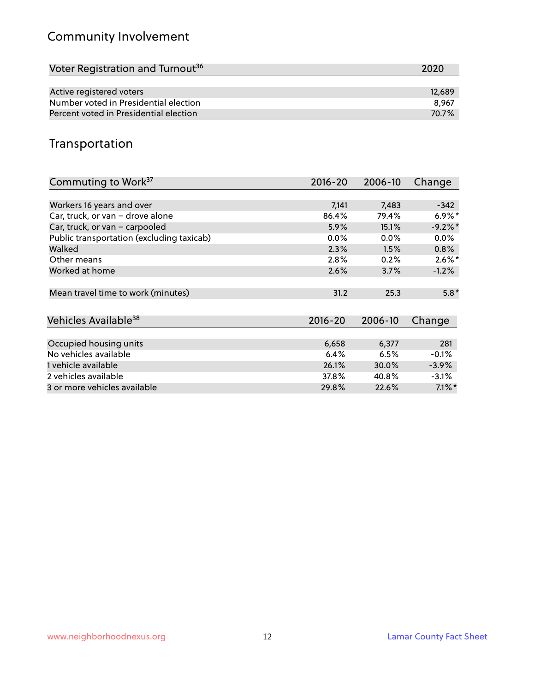# Community Involvement

| Voter Registration and Turnout <sup>36</sup> | 2020   |
|----------------------------------------------|--------|
|                                              |        |
| Active registered voters                     | 12.689 |
| Number voted in Presidential election        | 8.967  |
| Percent voted in Presidential election       | 70.7%  |

## Transportation

| Commuting to Work <sup>37</sup>           | 2016-20     | 2006-10 | Change    |
|-------------------------------------------|-------------|---------|-----------|
|                                           |             |         |           |
| Workers 16 years and over                 | 7,141       | 7,483   | $-342$    |
| Car, truck, or van - drove alone          | 86.4%       | 79.4%   | $6.9\%*$  |
| Car, truck, or van - carpooled            | 5.9%        | 15.1%   | $-9.2%$   |
| Public transportation (excluding taxicab) | $0.0\%$     | $0.0\%$ | $0.0\%$   |
| Walked                                    | 2.3%        | 1.5%    | 0.8%      |
| Other means                               | 2.8%        | 0.2%    | $2.6\%$ * |
| Worked at home                            | 2.6%        | 3.7%    | $-1.2%$   |
| Mean travel time to work (minutes)        | 31.2        | 25.3    | $5.8*$    |
| Vehicles Available <sup>38</sup>          | $2016 - 20$ | 2006-10 | Change    |
|                                           |             |         |           |
| Occupied housing units                    | 6,658       | 6,377   | 281       |
| No vehicles available                     | 6.4%        | 6.5%    | $-0.1%$   |
| 1 vehicle available                       | 26.1%       | 30.0%   | $-3.9%$   |
| 2 vehicles available                      | 37.8%       | 40.8%   | $-3.1%$   |
| 3 or more vehicles available              | 29.8%       | 22.6%   | $7.1\%$ * |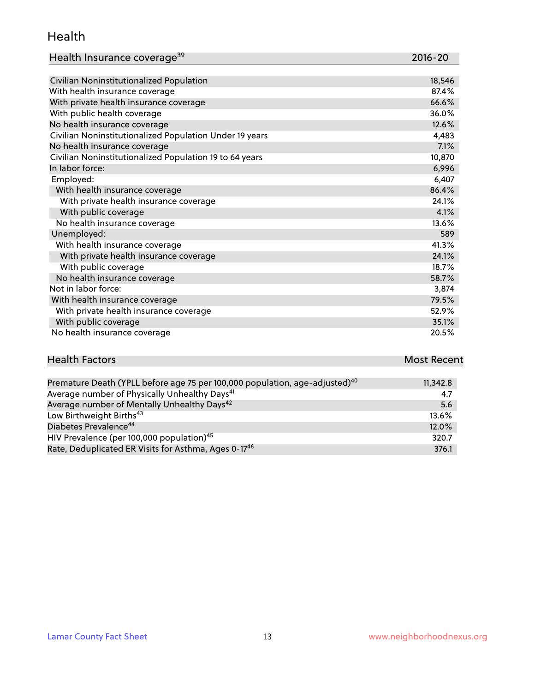#### Health

| Health Insurance coverage <sup>39</sup> | 2016-20 |
|-----------------------------------------|---------|
|-----------------------------------------|---------|

| Civilian Noninstitutionalized Population                | 18,546 |
|---------------------------------------------------------|--------|
| With health insurance coverage                          | 87.4%  |
| With private health insurance coverage                  | 66.6%  |
| With public health coverage                             | 36.0%  |
| No health insurance coverage                            | 12.6%  |
| Civilian Noninstitutionalized Population Under 19 years | 4,483  |
| No health insurance coverage                            | 7.1%   |
| Civilian Noninstitutionalized Population 19 to 64 years | 10,870 |
| In labor force:                                         | 6,996  |
| Employed:                                               | 6,407  |
| With health insurance coverage                          | 86.4%  |
| With private health insurance coverage                  | 24.1%  |
| With public coverage                                    | 4.1%   |
| No health insurance coverage                            | 13.6%  |
| Unemployed:                                             | 589    |
| With health insurance coverage                          | 41.3%  |
| With private health insurance coverage                  | 24.1%  |
| With public coverage                                    | 18.7%  |
| No health insurance coverage                            | 58.7%  |
| Not in labor force:                                     | 3,874  |
| With health insurance coverage                          | 79.5%  |
| With private health insurance coverage                  | 52.9%  |
| With public coverage                                    | 35.1%  |
| No health insurance coverage                            | 20.5%  |

| <b>Health Factors</b>                                                                | Most Recent |
|--------------------------------------------------------------------------------------|-------------|
|                                                                                      |             |
| $D$ romature Doath (VDLL before age $75$ per 100,000 penulation, age, adjusted) $40$ | 112420      |

| Premature Death (YPLL before age 75 per 100,000 population, age-adjusted) <sup>40</sup> | 11,342.8 |
|-----------------------------------------------------------------------------------------|----------|
| Average number of Physically Unhealthy Days <sup>41</sup>                               | 4.7      |
| Average number of Mentally Unhealthy Days <sup>42</sup>                                 | 5.6      |
| Low Birthweight Births <sup>43</sup>                                                    | 13.6%    |
| Diabetes Prevalence <sup>44</sup>                                                       | 12.0%    |
| HIV Prevalence (per 100,000 population) <sup>45</sup>                                   | 320.7    |
| Rate, Deduplicated ER Visits for Asthma, Ages 0-17 <sup>46</sup>                        | 376.1    |